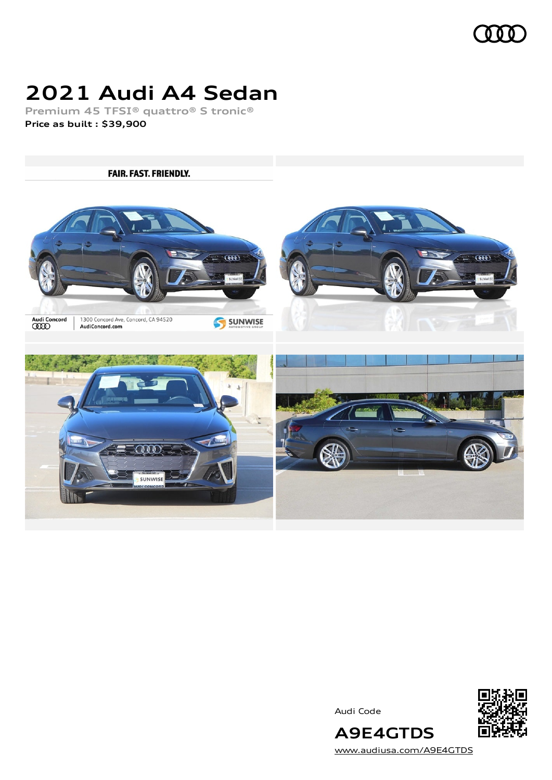

# **2021 Audi A4 Sedan**

**Premium 45 TFSI® quattro® S tronic® Price as built [:](#page-10-0) \$39,900**

**FAIR. FAST. FRIENDLY.**  $\overline{000}$  $\overline{000}$ Audi Concord<br>CCCD 1300 Concord Ave, Concord, CA 94520<br>AudiConcord.com SUNWISE  $\overline{000}$ SUNWISE

Audi Code



[www.audiusa.com/A9E4GTDS](https://www.audiusa.com/A9E4GTDS)

**A9E4GTDS**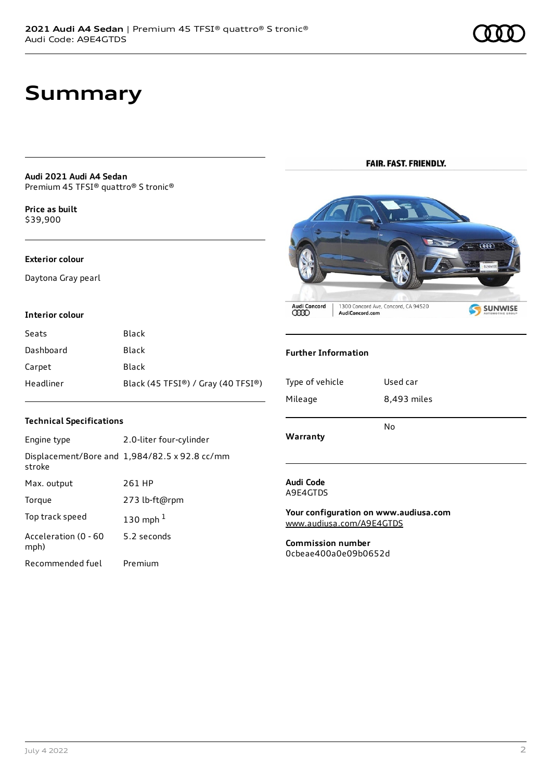# **Summary**

**Audi 2021 Audi A4 Sedan** Premium 45 TFSI® quattro® S tronic®

**Price as buil[t](#page-10-0)** \$39,900

#### **Exterior colour**

Daytona Gray pearl

#### **Interior colour**

| Seats     | Black                              |
|-----------|------------------------------------|
| Dashboard | Black                              |
| Carpet    | Black                              |
| Headliner | Black (45 TFSI®) / Gray (40 TFSI®) |

#### **Technical Specifications**

| Engine type                  | 2.0-liter four-cylinder                       |
|------------------------------|-----------------------------------------------|
| stroke                       | Displacement/Bore and 1,984/82.5 x 92.8 cc/mm |
| Max. output                  | 261 HP                                        |
| Torque                       | 273 lb-ft@rpm                                 |
| Top track speed              | 130 mph $1$                                   |
| Acceleration (0 - 60<br>mph) | 5.2 seconds                                   |
| Recommended fuel             | Premium                                       |

#### **FAIR. FAST. FRIENDLY.**



#### **Further Information**

| Type of vehicle | Used car    |
|-----------------|-------------|
| Mileage         | 8,493 miles |
| Warranty        | No          |

#### **Audi Code** A9E4GTDS

**Your configuration on www.audiusa.com** [www.audiusa.com/A9E4GTDS](https://www.audiusa.com/A9E4GTDS)

**Commission number** 0cbeae400a0e09b0652d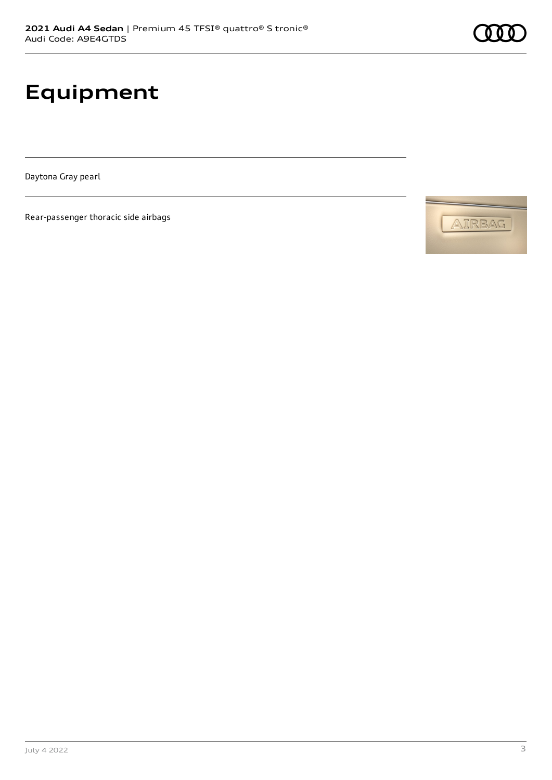# **Equipment**

Daytona Gray pearl

Rear-passenger thoracic side airbags



AIRBAG

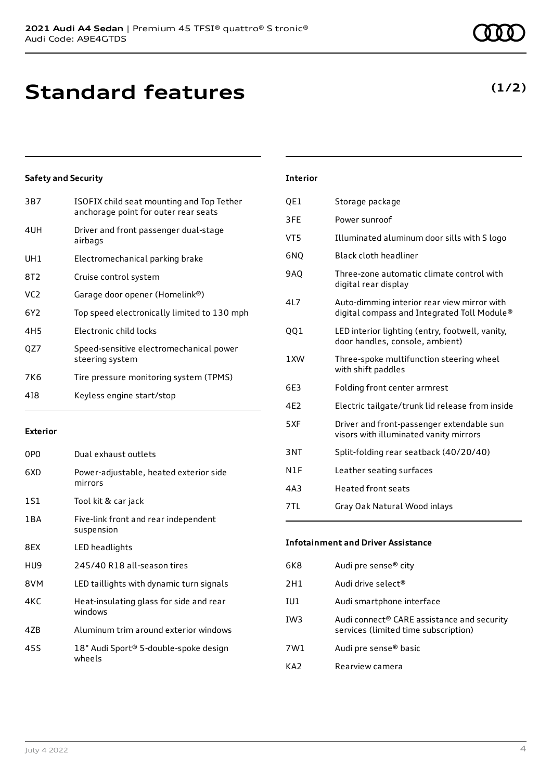## **(1/2)**

#### **Safety and Security**

| 3B7             | ISOFIX child seat mounting and Top Tether<br>anchorage point for outer rear seats |
|-----------------|-----------------------------------------------------------------------------------|
| 4UH             | Driver and front passenger dual-stage<br>airbags                                  |
| UH1             | Electromechanical parking brake                                                   |
| 8T2             | Cruise control system                                                             |
| VC2             | Garage door opener (Homelink®)                                                    |
| 6Y2             | Top speed electronically limited to 130 mph                                       |
| 4H <sub>5</sub> | Electronic child locks                                                            |
| OZ7             | Speed-sensitive electromechanical power<br>steering system                        |
| 7K <sub>6</sub> | Tire pressure monitoring system (TPMS)                                            |
| 418             | Keyless engine start/stop                                                         |
|                 |                                                                                   |

#### **Exterior**

| 0PO   | Dual exhaust outlets                               |
|-------|----------------------------------------------------|
| 6XD   | Power-adjustable, heated exterior side<br>mirrors  |
| 1S1   | Tool kit & car jack                                |
| 1 B A | Five-link front and rear independent<br>suspension |
| 8EX   | LED headlights                                     |
| HU9   | 245/40 R18 all-season tires                        |
| 8VM   | LED taillights with dynamic turn signals           |
| 4KC   | Heat-insulating glass for side and rear<br>windows |
| 4ZB   | Aluminum trim around exterior windows              |
| 45S   | 18" Audi Sport® 5-double-spoke design<br>wheels    |

### **Interior**

| QE1             | Storage package                                                                            |
|-----------------|--------------------------------------------------------------------------------------------|
| 3FE             | Power sunroof                                                                              |
| VT <sub>5</sub> | Illuminated aluminum door sills with S logo                                                |
| 6NQ             | Black cloth headliner                                                                      |
| 9AQ             | Three-zone automatic climate control with<br>digital rear display                          |
| 4L7             | Auto-dimming interior rear view mirror with<br>digital compass and Integrated Toll Module® |
| QQ1             | LED interior lighting (entry, footwell, vanity,<br>door handles, console, ambient)         |
| 1XW             | Three-spoke multifunction steering wheel<br>with shift paddles                             |
| 6E3             | Folding front center armrest                                                               |
| 4F <sub>2</sub> | Electric tailgate/trunk lid release from inside                                            |
| 5XF             | Driver and front-passenger extendable sun<br>visors with illuminated vanity mirrors        |
| 3NT             | Split-folding rear seatback (40/20/40)                                                     |
| N1F             | Leather seating surfaces                                                                   |
| 4A3             | <b>Heated front seats</b>                                                                  |
| 7TL             | Gray Oak Natural Wood inlays                                                               |

## **Infotainment and Driver Assistance** 6K8 Audi pre sense® city 2H1 Audi drive select<sup>®</sup> IU1 Audi smartphone interface IW3 Audi connect® CARE assistance and security services (limited time subscription) 7W1 Audi pre sense® basic KA2 Rearview camera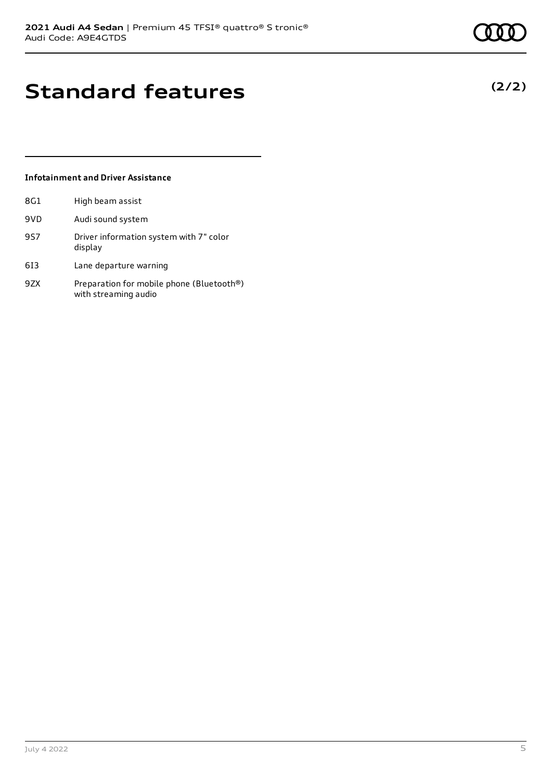**(2/2)**

# **Standard features**

#### **Infotainment and Driver Assistance**

| 8G1 | High beam assist                                                  |
|-----|-------------------------------------------------------------------|
| 9VD | Audi sound system                                                 |
| 957 | Driver information system with 7" color<br>display                |
| 613 | Lane departure warning                                            |
| 97X | Preparation for mobile phone (Bluetooth®)<br>with streaming audio |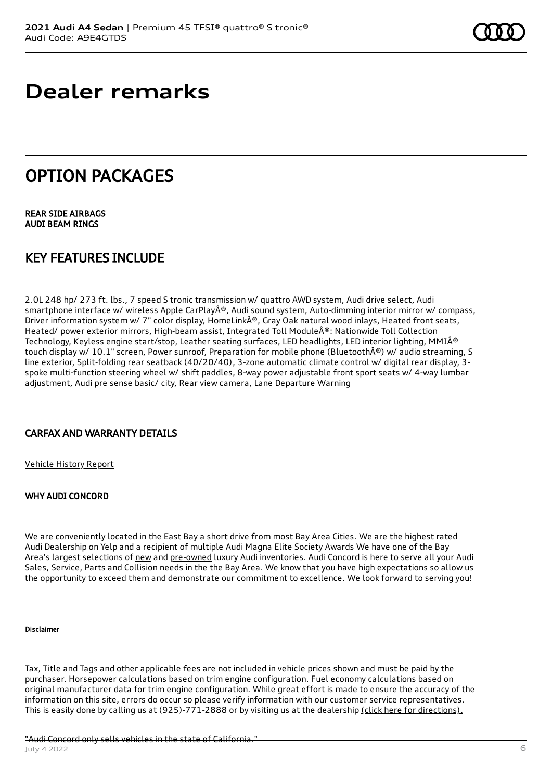## **Dealer remarks**

## OPTION PACKAGES

REAR SIDE AIRBAGS AUDI BEAM RINGS

## KEY FEATURES INCLUDE

2.0L 248 hp/ 273 ft. lbs., 7 speed S tronic transmission w/ quattro AWD system, Audi drive select, Audi smartphone interface w/ wireless Apple CarPlay®, Audi sound system, Auto-dimming interior mirror w/ compass, Driver information system w/ 7" color display, HomeLink®, Gray Oak natural wood inlays, Heated front seats, Heated/ power exterior mirrors, High-beam assist, Integrated Toll Module®: Nationwide Toll Collection Technology, Keyless engine start/stop, Leather seating surfaces, LED headlights, LED interior lighting, MMI® touch display w/ 10.1" screen, Power sunroof, Preparation for mobile phone (Bluetooth®) w/ audio streaming, S line exterior, Split-folding rear seatback (40/20/40), 3-zone automatic climate control w/ digital rear display, 3 spoke multi-function steering wheel w/ shift paddles, 8-way power adjustable front sport seats w/ 4-way lumbar adjustment, Audi pre sense basic/ city, Rear view camera, Lane Departure Warning

#### CARFAX AND WARRANTY DETAILS

[Vehicle](https://www.carfax.com/VehicleHistory/p/Report.cfx?partner=DLR_3&vin=WAUDABF44MN011058) History Report

#### WHY AUDI CONCORD

We are conveniently located in the East Bay a short drive from most Bay Area Cities. We are the highest rated Audi Dealership on [Yelp](https://www.yelp.com/biz/audi-concord-concord) and a recipient of multiple Audi Magna Elite Society [Awards](https://www.audiconcord.com/magna-society-award.htm) We have one of the Bay Area's largest selections of [new](https://www.audiconcord.com/new-inventory/index.htm) and [pre-owned](https://www.audiconcord.com/used-inventory/index.htm) luxury Audi inventories. Audi Concord is here to serve all your Audi Sales, Service, Parts and Collision needs in the the Bay Area. We know that you have high expectations so allow us the opportunity to exceed them and demonstrate our commitment to excellence. We look forward to serving you!

#### Disclaimer

Tax, Title and Tags and other applicable fees are not included in vehicle prices shown and must be paid by the purchaser. Horsepower calculations based on trim engine configuration. Fuel economy calculations based on original manufacturer data for trim engine configuration. While great effort is made to ensure the accuracy of the information on this site, errors do occur so please verify information with our customer service representatives. This is easily done by calling us at (925)-771-2888 or by visiting us at the dealership (click here for [directions\).](https://www.audiconcord.com/dealership/directions.htm)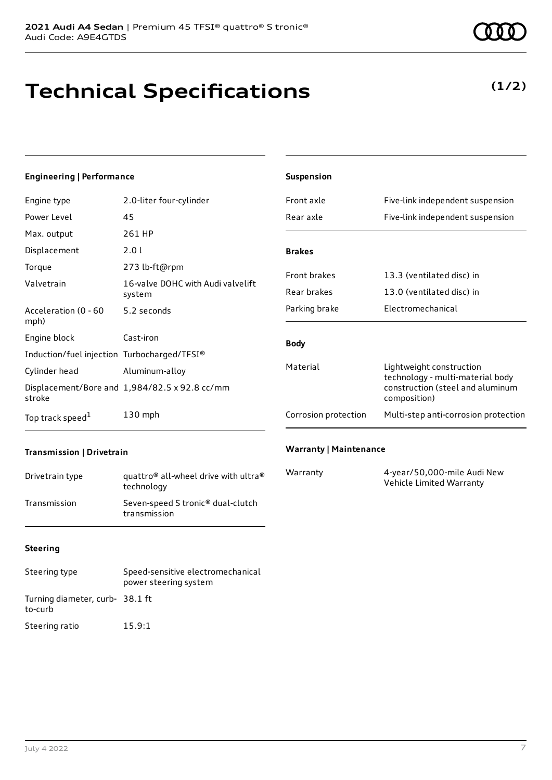# **Technical Specifications**

### **(1/2)**

#### **Engineering | Performance**

| Engine type                                 | 2.0-liter four-cylinder                       |
|---------------------------------------------|-----------------------------------------------|
| Power Level                                 | 45                                            |
| Max. output                                 | 261 HP                                        |
| Displacement                                | 2.0 l                                         |
| Torque                                      | 273 lb-ft@rpm                                 |
| Valvetrain                                  | 16-valve DOHC with Audi valvelift<br>system   |
| Acceleration (0 - 60<br>mph)                | 5.2 seconds                                   |
| Engine block                                | Cast-iron                                     |
| Induction/fuel injection Turbocharged/TFSI® |                                               |
| Cylinder head                               | Aluminum-alloy                                |
| stroke                                      | Displacement/Bore and 1,984/82.5 x 92.8 cc/mm |
| Top track speed <sup>1</sup>                | $130$ mph                                     |

| <b>Suspension</b>    |                                                                                                                  |
|----------------------|------------------------------------------------------------------------------------------------------------------|
| Front axle           | Five-link independent suspension                                                                                 |
| Rear axle            | Five-link independent suspension                                                                                 |
|                      |                                                                                                                  |
| <b>Brakes</b>        |                                                                                                                  |
| <b>Front brakes</b>  | 13.3 (ventilated disc) in                                                                                        |
| Rear brakes          | 13.0 (ventilated disc) in                                                                                        |
| Parking brake        | <b>Electromechanical</b>                                                                                         |
| <b>Body</b>          |                                                                                                                  |
| Material             | Lightweight construction<br>technology - multi-material body<br>construction (steel and aluminum<br>composition) |
| Corrosion protection | Multi-step anti-corrosion protection                                                                             |
|                      |                                                                                                                  |

#### **Transmission | Drivetrain**

| Drivetrain type | quattro <sup>®</sup> all-wheel drive with ultra <sup>®</sup><br>technology |
|-----------------|----------------------------------------------------------------------------|
| Transmission    | Seven-speed S tronic <sup>®</sup> dual-clutch<br>transmission              |

#### **Warranty | Maintenance**

| Warranty | 4-year/50,000-mile Audi New |
|----------|-----------------------------|
|          | Vehicle Limited Warranty    |

#### **Steering**

| Steering type                              | Speed-sensitive electromechanical<br>power steering system |
|--------------------------------------------|------------------------------------------------------------|
| Turning diameter, curb- 38.1 ft<br>to-curb |                                                            |
| Steering ratio                             | 15.9:1                                                     |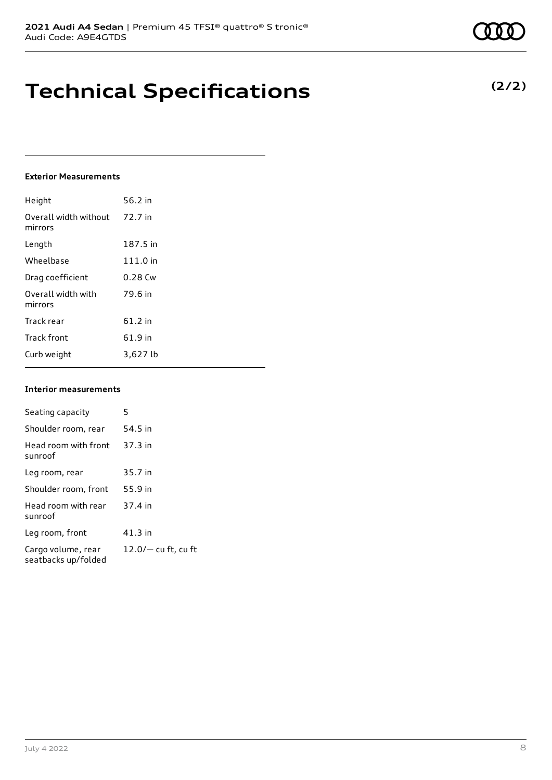# **Technical Specifications**

#### **Exterior Measurements**

| Height                           | 56.2 in   |
|----------------------------------|-----------|
| Overall width without<br>mirrors | 72.7 in   |
| Length                           | 187.5 in  |
| Wheelbase                        | 111.0 in  |
| Drag coefficient                 | $0.28$ Cw |
| Overall width with<br>mirrors    | 79.6 in   |
| Track rear                       | $61.2$ in |
| <b>Track front</b>               | 61.9 in   |
| Curb weight                      | 3,627 lb  |

#### **Interior measurements**

| Seating capacity                          | 5                     |
|-------------------------------------------|-----------------------|
| Shoulder room, rear                       | 54.5 in               |
| Head room with front<br>sunroof           | 37.3 in               |
| Leg room, rear                            | 35.7 in               |
| Shoulder room, front                      | 55.9 in               |
| Head room with rear<br>sunroof            | 37.4 in               |
| Leg room, front                           | $41.3$ in             |
| Cargo volume, rear<br>seatbacks up/folded | $12.0/-$ cu ft, cu ft |

### **(2/2)**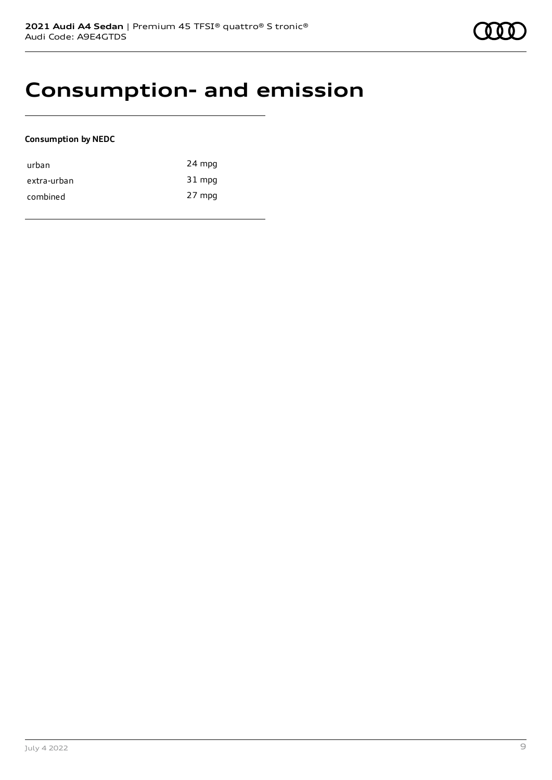# **Consumption- and emission**

#### **Consumption by NEDC**

| urban       | 24 mpg |
|-------------|--------|
| extra-urban | 31 mpg |
| combined    | 27 mpg |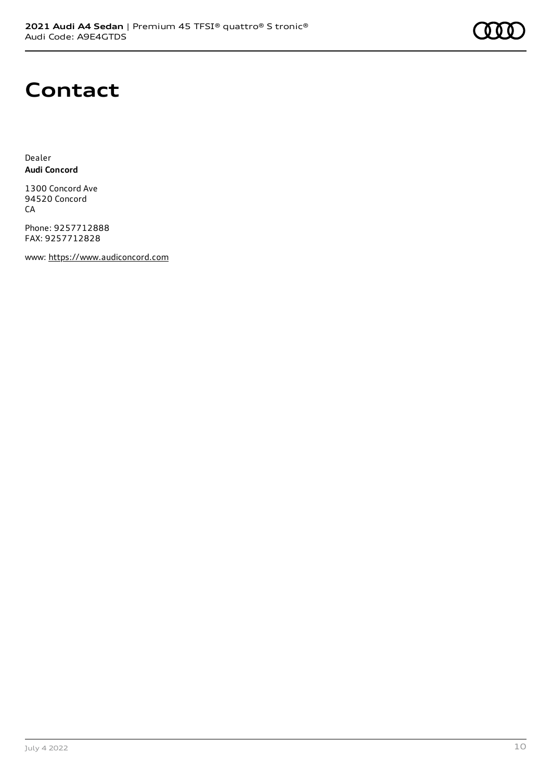

## **Contact**

Dealer **Audi Concord**

1300 Concord Ave 94520 Concord CA

Phone: 9257712888 FAX: 9257712828

www: [https://www.audiconcord.com](https://www.audiconcord.com/)